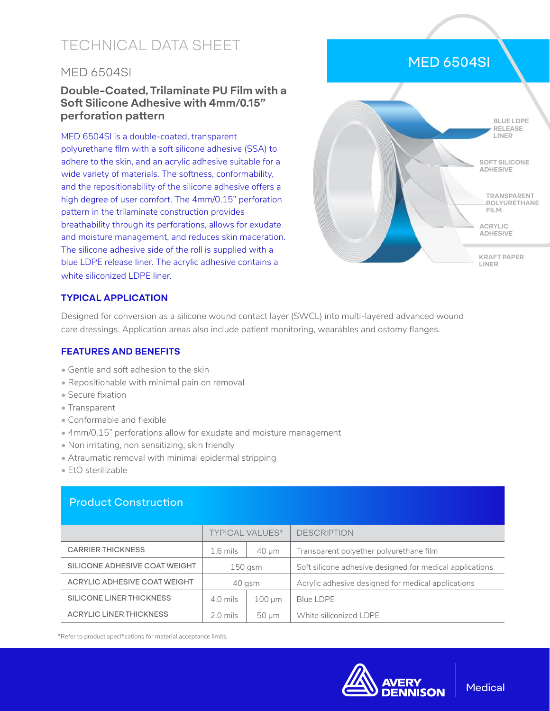# TECHNICAL DATA SHEET

### MED 6504SI

#### **Double-Coated, Trilaminate PU Film with a Soft Silicone Adhesive with 4mm/0.15" perforation pattern**

MED 6504SI is a double-coated, transparent polyurethane film with a soft silicone adhesive (SSA) to adhere to the skin, and an acrylic adhesive suitable for a wide variety of materials. The softness, conformability, and the repositionability of the silicone adhesive offers a high degree of user comfort. The 4mm/0.15" perforation pattern in the trilaminate construction provides breathability through its perforations, allows for exudate and moisture management, and reduces skin maceration. The silicone adhesive side of the roll is supplied with a blue LDPE release liner. The acrylic adhesive contains a white siliconized LDPE liner.



#### **TYPICAL APPLICATION**

Designed for conversion as a silicone wound contact layer (SWCL) into multi-layered advanced wound care dressings. Application areas also include patient monitoring, wearables and ostomy flanges.

#### **FEATURES AND BENEFITS**

- Gentle and soft adhesion to the skin
- Repositionable with minimal pain on removal
- Secure fixation
- Transparent
- Conformable and flexible
- 4mm/0.15" perforations allow for exudate and moisture management
- Non irritating, non sensitizing, skin friendly
- Atraumatic removal with minimal epidermal stripping
- EtO sterilizable

#### Product Construction

|                                | <b>TYPICAL VALUES*</b> |             | <b>DESCRIPTION</b>                                       |
|--------------------------------|------------------------|-------------|----------------------------------------------------------|
| <b>CARRIER THICKNESS</b>       | $1.6$ mils             | $40 \mu m$  | Transparent polyether polyurethane film                  |
| SILICONE ADHESIVE COAT WEIGHT  | $150$ gsm              |             | Soft silicone adhesive designed for medical applications |
| ACRYLIC ADHESIVE COAT WEIGHT   | 40 gsm                 |             | Acrylic adhesive designed for medical applications       |
| SILICONE LINER THICKNESS       | 4.0 mils               | $100 \mu m$ | <b>Blue LDPE</b>                                         |
| <b>ACRYLIC LINER THICKNESS</b> | $2.0$ mils             | 50 um       | White siliconized I DPF                                  |

\*Refer to product specifications for material acceptance limits.